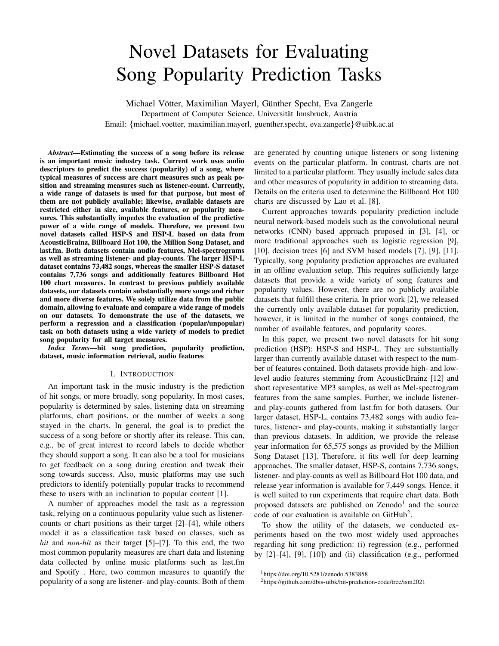# Novel Datasets for Evaluating Song Popularity Prediction Tasks

Michael Vötter, Maximilian Mayerl, Günther Specht, Eva Zangerle Department of Computer Science, Universität Innsbruck, Austria Email: {michael.voetter, maximilian.mayerl, guenther.specht, eva.zangerle}@uibk.ac.at

*Abstract*—Estimating the success of a song before its release is an important music industry task. Current work uses audio descriptors to predict the success (popularity) of a song, where typical measures of success are chart measures such as peak position and streaming measures such as listener-count. Currently, a wide range of datasets is used for that purpose, but most of them are not publicly available; likewise, available datasets are restricted either in size, available features, or popularity measures. This substantially impedes the evaluation of the predictive power of a wide range of models. Therefore, we present two novel datasets called HSP-S and HSP-L based on data from AcousticBrainz, Billboard Hot 100, the Million Song Dataset, and last.fm. Both datasets contain audio features, Mel-spectrograms as well as streaming listener- and play-counts. The larger HSP-L dataset contains 73,482 songs, whereas the smaller HSP-S dataset contains 7,736 songs and additionally features Billboard Hot 100 chart measures. In contrast to previous publicly available datasets, our datasets contain substantially more songs and richer and more diverse features. We solely utilize data from the public domain, allowing to evaluate and compare a wide range of models on our datasets. To demonstrate the use of the datasets, we perform a regression and a classification (popular/unpopular) task on both datasets using a wide variety of models to predict song popularity for all target measures.

*Index Terms*—hit song prediction, popularity prediction, dataset, music information retrieval, audio features

#### I. INTRODUCTION

An important task in the music industry is the prediction of hit songs, or more broadly, song popularity. In most cases, popularity is determined by sales, listening data on streaming platforms, chart positions, or the number of weeks a song stayed in the charts. In general, the goal is to predict the success of a song before or shortly after its release. This can, e.g., be of great interest to record labels to decide whether they should support a song. It can also be a tool for musicians to get feedback on a song during creation and tweak their song towards success. Also, music platforms may use such predictors to identify potentially popular tracks to recommend these to users with an inclination to popular content [1].

A number of approaches model the task as a regression task, relying on a continuous popularity value such as listenercounts or chart positions as their target [2]–[4], while others model it as a classification task based on classes, such as *hit* and *non-hit* as their target [5]–[7]. To this end, the two most common popularity measures are chart data and listening data collected by online music platforms such as last.fm and Spotify . Here, two common measures to quantify the popularity of a song are listener- and play-counts. Both of them are generated by counting unique listeners or song listening events on the particular platform. In contrast, charts are not limited to a particular platform. They usually include sales data and other measures of popularity in addition to streaming data. Details on the criteria used to determine the Billboard Hot 100 charts are discussed by Lao et al. [8].

Current approaches towards popularity prediction include neural network-based models such as the convolutional neural networks (CNN) based approach proposed in [3], [4], or more traditional approaches such as logistic regression [9], [10], decision trees [6] and SVM based models [7], [9], [11]. Typically, song popularity prediction approaches are evaluated in an offline evaluation setup. This requires sufficiently large datasets that provide a wide variety of song features and popularity values. However, there are no publicly available datasets that fulfill these criteria. In prior work [2], we released the currently only available dataset for popularity prediction, however, it is limited in the number of songs contained, the number of available features, and popularity scores.

In this paper, we present two novel datasets for hit song prediction (HSP): HSP-S and HSP-L. They are substantially larger than currently available dataset with respect to the number of features contained. Both datasets provide high- and lowlevel audio features stemming from AcousticBrainz [12] and short representative MP3 samples, as well as Mel-spectrogram features from the same samples. Further, we include listenerand play-counts gathered from last.fm for both datasets. Our larger dataset, HSP-L, contains 73,482 songs with audio features, listener- and play-counts, making it substantially larger than previous datasets. In addition, we provide the release year information for 65,575 songs as provided by the Million Song Dataset [13]. Therefore, it fits well for deep learning approaches. The smaller dataset, HSP-S, contains 7,736 songs, listener- and play-counts as well as Billboard Hot 100 data, and release year information is available for 7,449 songs. Hence, it is well suited to run experiments that require chart data. Both proposed datasets are published on Zenodo<sup>1</sup> and the source code of our evaluation is available on GitHub<sup>2</sup>.

To show the utility of the datasets, we conducted experiments based on the two most widely used approaches regarding hit song prediction: (i) regression (e.g., performed by [2]–[4], [9], [10]) and (ii) classification (e.g., performed

<sup>1</sup>https://doi.org/10.5281/zenodo.5383858

<sup>2</sup>https://github.com/dbis-uibk/hit-prediction-code/tree/ism2021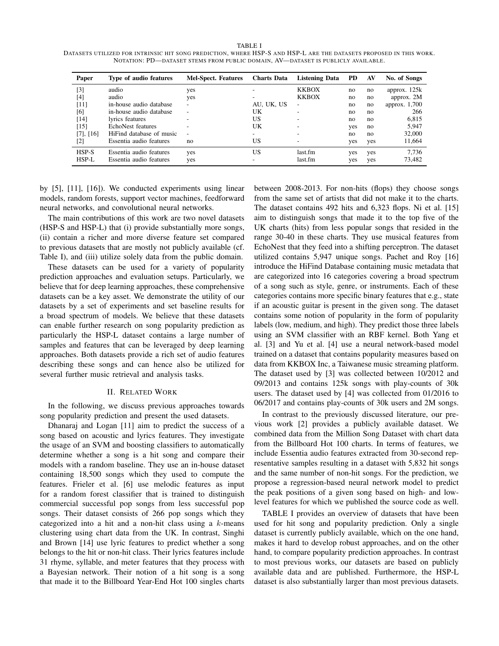TABLE I DATASETS UTILIZED FOR INTRINSIC HIT SONG PREDICTION, WHERE HSP-S AND HSP-L ARE THE DATASETS PROPOSED IN THIS WORK. NOTATION: PD—DATASET STEMS FROM PUBLIC DOMAIN, AV—DATASET IS PUBLICLY AVAILABLE.

| Paper          | Type of audio features   | <b>Mel-Spect. Features</b> | <b>Charts Data</b> | <b>Listening Data</b>    | <b>PD</b> | AV  | No. of Songs   |
|----------------|--------------------------|----------------------------|--------------------|--------------------------|-----------|-----|----------------|
| [3]            | audio                    | yes                        |                    | <b>KKBOX</b>             | no        | no  | approx. $125k$ |
| [4]            | audio                    | yes                        |                    | <b>KKBOX</b>             | no        | no  | approx. 2M     |
| [11]           | in-house audio database  | $\overline{\phantom{a}}$   | AU, UK, US         | $\overline{\phantom{a}}$ | no        | no  | approx. 1,700  |
| [6]            | in-house audio database  | $\overline{\phantom{a}}$   | UK                 | ۰                        | no        | no  | 266            |
| [14]           | lyrics features          |                            | US                 |                          | no        | no  | 6,815          |
| $[15]$         | EchoNest features        |                            | UK                 |                          | yes       | no  | 5.947          |
| $[7]$ , $[16]$ | HiFind database of music | $\overline{\phantom{a}}$   | ۰                  |                          | no        | no  | 32,000         |
| [2]            | Essentia audio features  | no                         | US                 |                          | yes       | yes | 11,664         |
| HSP-S          | Essentia audio features  | yes                        | US                 | last.fm                  | yes       | yes | 7,736          |
| HSP-L          | Essentia audio features  | yes                        |                    | last.fm                  | yes       | yes | 73,482         |

by [5], [11], [16]). We conducted experiments using linear models, random forests, support vector machines, feedforward neural networks, and convolutional neural networks.

The main contributions of this work are two novel datasets (HSP-S and HSP-L) that (i) provide substantially more songs, (ii) contain a richer and more diverse feature set compared to previous datasets that are mostly not publicly available (cf. Table I), and (iii) utilize solely data from the public domain.

These datasets can be used for a variety of popularity prediction approaches and evaluation setups. Particularly, we believe that for deep learning approaches, these comprehensive datasets can be a key asset. We demonstrate the utility of our datasets by a set of experiments and set baseline results for a broad spectrum of models. We believe that these datasets can enable further research on song popularity prediction as particularly the HSP-L dataset contains a large number of samples and features that can be leveraged by deep learning approaches. Both datasets provide a rich set of audio features describing these songs and can hence also be utilized for several further music retrieval and analysis tasks.

#### II. RELATED WORK

In the following, we discuss previous approaches towards song popularity prediction and present the used datasets.

Dhanaraj and Logan [11] aim to predict the success of a song based on acoustic and lyrics features. They investigate the usage of an SVM and boosting classifiers to automatically determine whether a song is a hit song and compare their models with a random baseline. They use an in-house dataset containing 18,500 songs which they used to compute the features. Frieler et al. [6] use melodic features as input for a random forest classifier that is trained to distinguish commercial successful pop songs from less successful pop songs. Their dataset consists of 266 pop songs which they categorized into a hit and a non-hit class using a  $k$ -means clustering using chart data from the UK. In contrast, Singhi and Brown [14] use lyric features to predict whether a song belongs to the hit or non-hit class. Their lyrics features include 31 rhyme, syllable, and meter features that they process with a Bayesian network. Their notion of a hit song is a song that made it to the Billboard Year-End Hot 100 singles charts between 2008-2013. For non-hits (flops) they choose songs from the same set of artists that did not make it to the charts. The dataset contains 492 hits and 6,323 flops. Ni et al. [15] aim to distinguish songs that made it to the top five of the UK charts (hits) from less popular songs that resided in the range 30-40 in these charts. They use musical features from EchoNest that they feed into a shifting perceptron. The dataset utilized contains 5,947 unique songs. Pachet and Roy [16] introduce the HiFind Database containing music metadata that are categorized into 16 categories covering a broad spectrum of a song such as style, genre, or instruments. Each of these categories contains more specific binary features that e.g., state if an acoustic guitar is present in the given song. The dataset contains some notion of popularity in the form of popularity labels (low, medium, and high). They predict those three labels using an SVM classifier with an RBF kernel. Both Yang et al. [3] and Yu et al. [4] use a neural network-based model trained on a dataset that contains popularity measures based on data from KKBOX Inc, a Taiwanese music streaming platform. The dataset used by [3] was collected between 10/2012 and 09/2013 and contains 125k songs with play-counts of 30k users. The dataset used by [4] was collected from 01/2016 to 06/2017 and contains play-counts of 30k users and 2M songs.

In contrast to the previously discussed literature, our previous work [2] provides a publicly available dataset. We combined data from the Million Song Dataset with chart data from the Billboard Hot 100 charts. In terms of features, we include Essentia audio features extracted from 30-second representative samples resulting in a dataset with 5,832 hit songs and the same number of non-hit songs. For the prediction, we propose a regression-based neural network model to predict the peak positions of a given song based on high- and lowlevel features for which we published the source code as well.

TABLE I provides an overview of datasets that have been used for hit song and popularity prediction. Only a single dataset is currently publicly available, which on the one hand, makes it hard to develop robust approaches, and on the other hand, to compare popularity prediction approaches. In contrast to most previous works, our datasets are based on publicly available data and are published. Furthermore, the HSP-L dataset is also substantially larger than most previous datasets.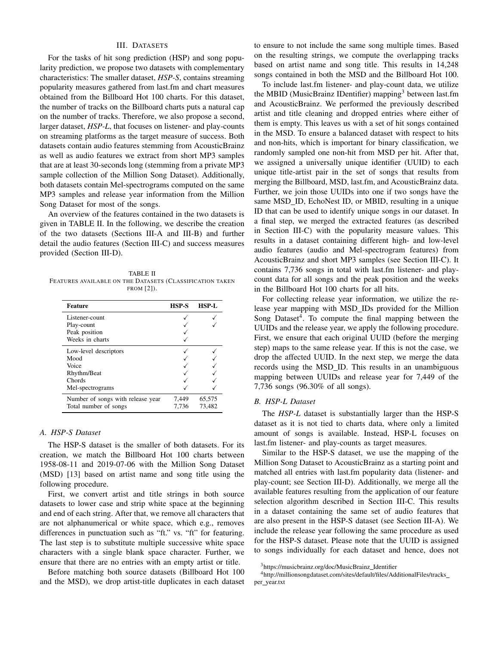## III. DATASETS

For the tasks of hit song prediction (HSP) and song popularity prediction, we propose two datasets with complementary characteristics: The smaller dataset, *HSP-S*, contains streaming popularity measures gathered from last.fm and chart measures obtained from the Billboard Hot 100 charts. For this dataset, the number of tracks on the Billboard charts puts a natural cap on the number of tracks. Therefore, we also propose a second, larger dataset, *HSP-L*, that focuses on listener- and play-counts on streaming platforms as the target measure of success. Both datasets contain audio features stemming from AcousticBrainz as well as audio features we extract from short MP3 samples that are at least 30-seconds long (stemming from a private MP3 sample collection of the Million Song Dataset). Additionally, both datasets contain Mel-spectrograms computed on the same MP3 samples and release year information from the Million Song Dataset for most of the songs.

An overview of the features contained in the two datasets is given in TABLE II. In the following, we describe the creation of the two datasets (Sections III-A and III-B) and further detail the audio features (Section III-C) and success measures provided (Section III-D).

TABLE II FEATURES AVAILABLE ON THE DATASETS (CLASSIFICATION TAKEN FROM [2]).

| <b>Feature</b>                    | <b>HSP-S</b> | HSP-L  |
|-----------------------------------|--------------|--------|
| Listener-count                    |              |        |
| Play-count                        |              |        |
| Peak position                     |              |        |
| Weeks in charts                   |              |        |
| Low-level descriptors             |              |        |
| Mood                              |              |        |
| Voice                             |              |        |
| Rhythm/Beat                       |              |        |
| Chords                            |              |        |
| Mel-spectrograms                  |              |        |
| Number of songs with release year | 7,449        | 65,575 |
| Total number of songs             | 7.736        | 73,482 |

## *A. HSP-S Dataset*

The HSP-S dataset is the smaller of both datasets. For its creation, we match the Billboard Hot 100 charts between 1958-08-11 and 2019-07-06 with the Million Song Dataset (MSD) [13] based on artist name and song title using the following procedure.

First, we convert artist and title strings in both source datasets to lower case and strip white space at the beginning and end of each string. After that, we remove all characters that are not alphanumerical or white space, which e.g., removes differences in punctuation such as "ft." vs. "ft" for featuring. The last step is to substitute multiple successive white space characters with a single blank space character. Further, we ensure that there are no entries with an empty artist or title.

Before matching both source datasets (Billboard Hot 100 and the MSD), we drop artist-title duplicates in each dataset to ensure to not include the same song multiple times. Based on the resulting strings, we compute the overlapping tracks based on artist name and song title. This results in 14,248 songs contained in both the MSD and the Billboard Hot 100.

To include last.fm listener- and play-count data, we utilize the MBID (MusicBrainz IDentifier) mapping<sup>3</sup> between last.fm and AcousticBrainz. We performed the previously described artist and title cleaning and dropped entries where either of them is empty. This leaves us with a set of hit songs contained in the MSD. To ensure a balanced dataset with respect to hits and non-hits, which is important for binary classification, we randomly sampled one non-hit from MSD per hit. After that, we assigned a universally unique identifier (UUID) to each unique title-artist pair in the set of songs that results from merging the Billboard, MSD, last.fm, and AcousticBrainz data. Further, we join those UUIDs into one if two songs have the same MSD\_ID, EchoNest ID, or MBID, resulting in a unique ID that can be used to identify unique songs in our dataset. In a final step, we merged the extracted features (as described in Section III-C) with the popularity measure values. This results in a dataset containing different high- and low-level audio features (audio and Mel-spectrogram features) from AcousticBrainz and short MP3 samples (see Section III-C). It contains 7,736 songs in total with last.fm listener- and playcount data for all songs and the peak position and the weeks in the Billboard Hot 100 charts for all hits.

For collecting release year information, we utilize the release year mapping with MSD IDs provided for the Million Song Dataset<sup>4</sup>. To compute the final mapping between the UUIDs and the release year, we apply the following procedure. First, we ensure that each original UUID (before the merging step) maps to the same release year. If this is not the case, we drop the affected UUID. In the next step, we merge the data records using the MSD ID. This results in an unambiguous mapping between UUIDs and release year for 7,449 of the 7,736 songs (96.30% of all songs).

#### *B. HSP-L Dataset*

The *HSP-L* dataset is substantially larger than the HSP-S dataset as it is not tied to charts data, where only a limited amount of songs is available. Instead, HSP-L focuses on last.fm listener- and play-counts as target measures.

Similar to the HSP-S dataset, we use the mapping of the Million Song Dataset to AcousticBrainz as a starting point and matched all entries with last.fm popularity data (listener- and play-count; see Section III-D). Additionally, we merge all the available features resulting from the application of our feature selection algorithm described in Section III-C. This results in a dataset containing the same set of audio features that are also present in the HSP-S dataset (see Section III-A). We include the release year following the same procedure as used for the HSP-S dataset. Please note that the UUID is assigned to songs individually for each dataset and hence, does not

<sup>4</sup>http://millionsongdataset.com/sites/default/files/AdditionalFiles/tracks per\_year.txt

<sup>3</sup>https://musicbrainz.org/doc/MusicBrainz Identifier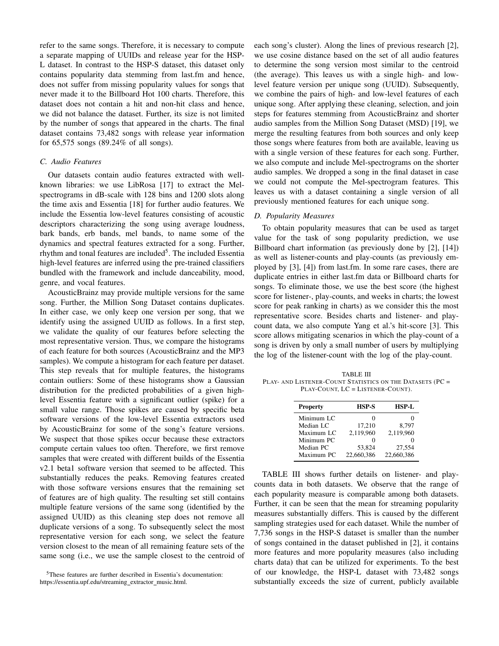refer to the same songs. Therefore, it is necessary to compute a separate mapping of UUIDs and release year for the HSP-L dataset. In contrast to the HSP-S dataset, this dataset only contains popularity data stemming from last.fm and hence, does not suffer from missing popularity values for songs that never made it to the Billboard Hot 100 charts. Therefore, this dataset does not contain a hit and non-hit class and hence, we did not balance the dataset. Further, its size is not limited by the number of songs that appeared in the charts. The final dataset contains 73,482 songs with release year information for 65,575 songs (89.24% of all songs).

## *C. Audio Features*

Our datasets contain audio features extracted with wellknown libraries: we use LibRosa [17] to extract the Melspectrograms in dB-scale with 128 bins and 1200 slots along the time axis and Essentia [18] for further audio features. We include the Essentia low-level features consisting of acoustic descriptors characterizing the song using average loudness, bark bands, erb bands, mel bands, to name some of the dynamics and spectral features extracted for a song. Further, rhythm and tonal features are included<sup>5</sup>. The included Essentia high-level features are inferred using the pre-trained classifiers bundled with the framework and include danceability, mood, genre, and vocal features.

AcousticBrainz may provide multiple versions for the same song. Further, the Million Song Dataset contains duplicates. In either case, we only keep one version per song, that we identify using the assigned UUID as follows. In a first step, we validate the quality of our features before selecting the most representative version. Thus, we compare the histograms of each feature for both sources (AcousticBrainz and the MP3 samples). We compute a histogram for each feature per dataset. This step reveals that for multiple features, the histograms contain outliers: Some of these histograms show a Gaussian distribution for the predicted probabilities of a given highlevel Essentia feature with a significant outlier (spike) for a small value range. Those spikes are caused by specific beta software versions of the low-level Essentia extractors used by AcousticBrainz for some of the song's feature versions. We suspect that those spikes occur because these extractors compute certain values too often. Therefore, we first remove samples that were created with different builds of the Essentia v2.1 beta1 software version that seemed to be affected. This substantially reduces the peaks. Removing features created with those software versions ensures that the remaining set of features are of high quality. The resulting set still contains multiple feature versions of the same song (identified by the assigned UUID) as this cleaning step does not remove all duplicate versions of a song. To subsequently select the most representative version for each song, we select the feature version closest to the mean of all remaining feature sets of the same song (i.e., we use the sample closest to the centroid of each song's cluster). Along the lines of previous research [2], we use cosine distance based on the set of all audio features to determine the song version most similar to the centroid (the average). This leaves us with a single high- and lowlevel feature version per unique song (UUID). Subsequently, we combine the pairs of high- and low-level features of each unique song. After applying these cleaning, selection, and join steps for features stemming from AcousticBrainz and shorter audio samples from the Million Song Dataset (MSD) [19], we merge the resulting features from both sources and only keep those songs where features from both are available, leaving us with a single version of these features for each song. Further, we also compute and include Mel-spectrograms on the shorter audio samples. We dropped a song in the final dataset in case we could not compute the Mel-spectrogram features. This leaves us with a dataset containing a single version of all previously mentioned features for each unique song.

## *D. Popularity Measures*

To obtain popularity measures that can be used as target value for the task of song popularity prediction, we use Billboard chart information (as previously done by [2], [14]) as well as listener-counts and play-counts (as previously employed by [3], [4]) from last.fm. In some rare cases, there are duplicate entries in either last.fm data or Billboard charts for songs. To eliminate those, we use the best score (the highest score for listener-, play-counts, and weeks in charts; the lowest score for peak ranking in charts) as we consider this the most representative score. Besides charts and listener- and playcount data, we also compute Yang et al.'s hit-score [3]. This score allows mitigating scenarios in which the play-count of a song is driven by only a small number of users by multiplying the log of the listener-count with the log of the play-count.

TABLE III PLAY- AND LISTENER-COUNT STATISTICS ON THE DATASETS (PC = PLAY-COUNT, LC = LISTENER-COUNT).

| <b>Property</b> | <b>HSP-S</b> | HSP-L      |  |  |
|-----------------|--------------|------------|--|--|
| Minimum LC      |              |            |  |  |
| Median LC       | 17,210       | 8.797      |  |  |
| Maximum LC      | 2.119.960    | 2,119,960  |  |  |
| Minimum PC      |              |            |  |  |
| Median PC       | 53,824       | 27,554     |  |  |
| Maximum PC      | 22,660,386   | 22,660,386 |  |  |

TABLE III shows further details on listener- and playcounts data in both datasets. We observe that the range of each popularity measure is comparable among both datasets. Further, it can be seen that the mean for streaming popularity measures substantially differs. This is caused by the different sampling strategies used for each dataset. While the number of 7,736 songs in the HSP-S dataset is smaller than the number of songs contained in the dataset published in [2], it contains more features and more popularity measures (also including charts data) that can be utilized for experiments. To the best of our knowledge, the HSP-L dataset with 73,482 songs substantially exceeds the size of current, publicly available

<sup>5</sup>These features are further described in Essentia's documentation: https://essentia.upf.edu/streaming\_extractor\_music.html.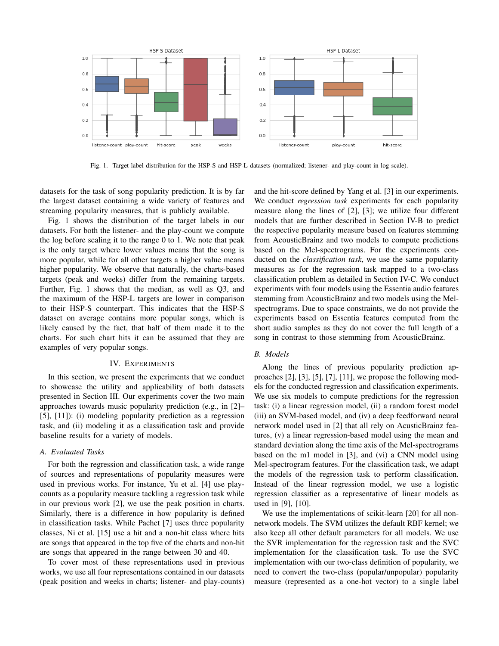

Fig. 1. Target label distribution for the HSP-S and HSP-L datasets (normalized; listener- and play-count in log scale).

datasets for the task of song popularity prediction. It is by far the largest dataset containing a wide variety of features and streaming popularity measures, that is publicly available.

Fig. 1 shows the distribution of the target labels in our datasets. For both the listener- and the play-count we compute the log before scaling it to the range 0 to 1. We note that peak is the only target where lower values means that the song is more popular, while for all other targets a higher value means higher popularity. We observe that naturally, the charts-based targets (peak and weeks) differ from the remaining targets. Further, Fig. 1 shows that the median, as well as Q3, and the maximum of the HSP-L targets are lower in comparison to their HSP-S counterpart. This indicates that the HSP-S dataset on average contains more popular songs, which is likely caused by the fact, that half of them made it to the charts. For such chart hits it can be assumed that they are examples of very popular songs.

#### IV. EXPERIMENTS

In this section, we present the experiments that we conduct to showcase the utility and applicability of both datasets presented in Section III. Our experiments cover the two main approaches towards music popularity prediction (e.g., in [2]– [5], [11]): (i) modeling popularity prediction as a regression task, and (ii) modeling it as a classification task and provide baseline results for a variety of models.

## *A. Evaluated Tasks*

For both the regression and classification task, a wide range of sources and representations of popularity measures were used in previous works. For instance, Yu et al. [4] use playcounts as a popularity measure tackling a regression task while in our previous work [2], we use the peak position in charts. Similarly, there is a difference in how popularity is defined in classification tasks. While Pachet [7] uses three popularity classes, Ni et al. [15] use a hit and a non-hit class where hits are songs that appeared in the top five of the charts and non-hit are songs that appeared in the range between 30 and 40.

To cover most of these representations used in previous works, we use all four representations contained in our datasets (peak position and weeks in charts; listener- and play-counts) and the hit-score defined by Yang et al. [3] in our experiments. We conduct *regression task* experiments for each popularity measure along the lines of [2], [3]; we utilize four different models that are further described in Section IV-B to predict the respective popularity measure based on features stemming from AcousticBrainz and two models to compute predictions based on the Mel-spectrograms. For the experiments conducted on the *classification task*, we use the same popularity measures as for the regression task mapped to a two-class classification problem as detailed in Section IV-C. We conduct experiments with four models using the Essentia audio features stemming from AcousticBrainz and two models using the Melspectrograms. Due to space constraints, we do not provide the experiments based on Essentia features computed from the short audio samples as they do not cover the full length of a song in contrast to those stemming from AcousticBrainz.

## *B. Models*

Along the lines of previous popularity prediction approaches [2], [3], [5], [7], [11], we propose the following models for the conducted regression and classification experiments. We use six models to compute predictions for the regression task: (i) a linear regression model, (ii) a random forest model (iii) an SVM-based model, and (iv) a deep feedforward neural network model used in [2] that all rely on AcusticBrainz features, (v) a linear regression-based model using the mean and standard deviation along the time axis of the Mel-spectrograms based on the m1 model in [3], and (vi) a CNN model using Mel-spectrogram features. For the classification task, we adapt the models of the regression task to perform classification. Instead of the linear regression model, we use a logistic regression classifier as a representative of linear models as used in [9], [10].

We use the implementations of scikit-learn [20] for all nonnetwork models. The SVM utilizes the default RBF kernel; we also keep all other default parameters for all models. We use the SVR implementation for the regression task and the SVC implementation for the classification task. To use the SVC implementation with our two-class definition of popularity, we need to convert the two-class (popular/unpopular) popularity measure (represented as a one-hot vector) to a single label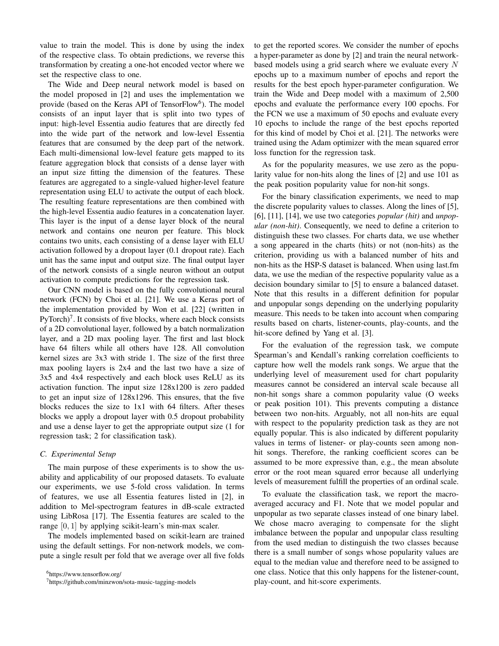value to train the model. This is done by using the index of the respective class. To obtain predictions, we reverse this transformation by creating a one-hot encoded vector where we set the respective class to one.

The Wide and Deep neural network model is based on the model proposed in [2] and uses the implementation we provide (based on the Keras API of TensorFlow<sup>6</sup>). The model consists of an input layer that is split into two types of input: high-level Essentia audio features that are directly fed into the wide part of the network and low-level Essentia features that are consumed by the deep part of the network. Each multi-dimensional low-level feature gets mapped to its feature aggregation block that consists of a dense layer with an input size fitting the dimension of the features. These features are aggregated to a single-valued higher-level feature representation using ELU to activate the output of each block. The resulting feature representations are then combined with the high-level Essentia audio features in a concatenation layer. This layer is the input of a dense layer block of the neural network and contains one neuron per feature. This block contains two units, each consisting of a dense layer with ELU activation followed by a dropout layer (0.1 dropout rate). Each unit has the same input and output size. The final output layer of the network consists of a single neuron without an output activation to compute predictions for the regression task.

Our CNN model is based on the fully convolutional neural network (FCN) by Choi et al. [21]. We use a Keras port of the implementation provided by Won et al. [22] (written in PyTorch)<sup>7</sup>. It consists of five blocks, where each block consists of a 2D convolutional layer, followed by a batch normalization layer, and a 2D max pooling layer. The first and last block have 64 filters while all others have 128. All convolution kernel sizes are 3x3 with stride 1. The size of the first three max pooling layers is 2x4 and the last two have a size of 3x5 and 4x4 respectively and each block uses ReLU as its activation function. The input size 128x1200 is zero padded to get an input size of 128x1296. This ensures, that the five blocks reduces the size to 1x1 with 64 filters. After theses blocks we apply a dropout layer with 0.5 dropout probability and use a dense layer to get the appropriate output size (1 for regression task; 2 for classification task).

## *C. Experimental Setup*

The main purpose of these experiments is to show the usability and applicability of our proposed datasets. To evaluate our experiments, we use 5-fold cross validation. In terms of features, we use all Essentia features listed in [2], in addition to Mel-spectrogram features in dB-scale extracted using LibRosa [17]. The Essentia features are scaled to the range [0, 1] by applying scikit-learn's min-max scaler.

The models implemented based on scikit-learn are trained using the default settings. For non-network models, we compute a single result per fold that we average over all five folds to get the reported scores. We consider the number of epochs a hyper-parameter as done by [2] and train the neural networkbased models using a grid search where we evaluate every N epochs up to a maximum number of epochs and report the results for the best epoch hyper-parameter configuration. We train the Wide and Deep model with a maximum of 2,500 epochs and evaluate the performance every 100 epochs. For the FCN we use a maximum of 50 epochs and evaluate every 10 epochs to include the range of the best epochs reported for this kind of model by Choi et al. [21]. The networks were trained using the Adam optimizer with the mean squared error loss function for the regression task.

As for the popularity measures, we use zero as the popularity value for non-hits along the lines of [2] and use 101 as the peak position popularity value for non-hit songs.

For the binary classification experiments, we need to map the discrete popularity values to classes. Along the lines of [5], [6], [11], [14], we use two categories *popular (hit)* and *unpopular (non-hit)*. Consequently, we need to define a criterion to distinguish these two classes. For charts data, we use whether a song appeared in the charts (hits) or not (non-hits) as the criterion, providing us with a balanced number of hits and non-hits as the HSP-S dataset is balanced. When using last.fm data, we use the median of the respective popularity value as a decision boundary similar to [5] to ensure a balanced dataset. Note that this results in a different definition for popular and unpopular songs depending on the underlying popularity measure. This needs to be taken into account when comparing results based on charts, listener-counts, play-counts, and the hit-score defined by Yang et al. [3].

For the evaluation of the regression task, we compute Spearman's and Kendall's ranking correlation coefficients to capture how well the models rank songs. We argue that the underlying level of measurement used for chart popularity measures cannot be considered an interval scale because all non-hit songs share a common popularity value (O weeks or peak position 101). This prevents computing a distance between two non-hits. Arguably, not all non-hits are equal with respect to the popularity prediction task as they are not equally popular. This is also indicated by different popularity values in terms of listener- or play-counts seen among nonhit songs. Therefore, the ranking coefficient scores can be assumed to be more expressive than, e.g., the mean absolute error or the root mean squared error because all underlying levels of measurement fulfill the properties of an ordinal scale.

To evaluate the classification task, we report the macroaveraged accuracy and F1. Note that we model popular and unpopular as two separate classes instead of one binary label. We chose macro averaging to compensate for the slight imbalance between the popular and unpopular class resulting from the used median to distinguish the two classes because there is a small number of songs whose popularity values are equal to the median value and therefore need to be assigned to one class. Notice that this only happens for the listener-count, play-count, and hit-score experiments.

<sup>6</sup>https://www.tensorflow.org/

<sup>7</sup>https://github.com/minzwon/sota-music-tagging-models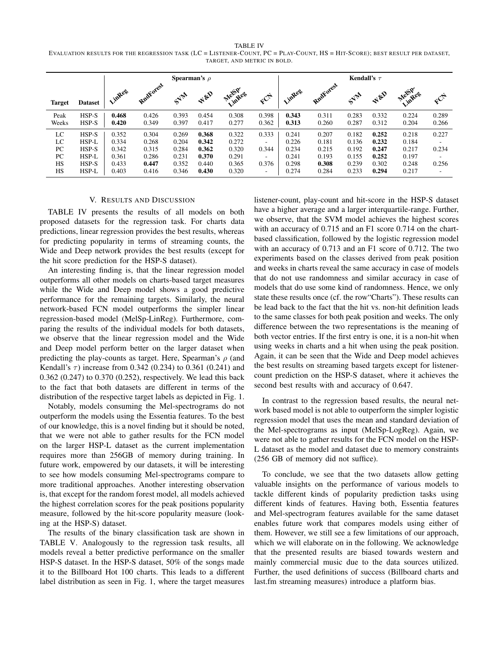TABLE IV EVALUATION RESULTS FOR THE REGRESSION TASK (LC = LISTENER-COUNT, PC = PLAY-COUNT, HS = HIT-SCORE); BEST RESULT PER DATASET, TARGET, AND METRIC IN BOLD.

|               |                  | <b>Spearman's</b> $\rho$ |                |                |                |                |                |                | Kendall's $\tau$ |                |                 |                |                          |  |  |
|---------------|------------------|--------------------------|----------------|----------------|----------------|----------------|----------------|----------------|------------------|----------------|-----------------|----------------|--------------------------|--|--|
| <b>Target</b> | <b>Dataset</b>   | . inkeg                  | RndForest      |                | Wen            | Mel5p.eg       |                | Vintees        | Rudforest        |                | $A^{\text{gp}}$ | Melspress      |                          |  |  |
| Peak<br>Weeks | $HSP-S$<br>HSP-S | 0.468<br>0.420           | 0.426<br>0.349 | 0.393<br>0.397 | 0.454<br>0.417 | 0.308<br>0.277 | 0.398<br>0.362 | 0.343<br>0.313 | 0.311<br>0.260   | 0.283<br>0.287 | 0.332<br>0.312  | 0.224<br>0.204 | 0.289<br>0.266           |  |  |
| LC            | HSP-S            | 0.352                    | 0.304          | 0.269          | 0.368          | 0.322          | 0.333          | 0.241          | 0.207            | 0.182          | 0.252           | 0.218          | 0.227                    |  |  |
| LC            | HSP-L            | 0.334                    | 0.268          | 0.204          | 0.342          | 0.272          | ٠.             | 0.226          | 0.181            | 0.136          | 0.232           | 0.184          | ٠.                       |  |  |
| PC            | HSP-S            | 0.342                    | 0.315          | 0.284          | 0.362          | 0.320          | 0.344          | 0.234          | 0.215            | 0.192          | 0.247           | 0.217          | 0.234                    |  |  |
| PC            | HSP-L            | 0.361                    | 0.286          | 0.231          | 0.370          | 0.291          | ۰.             | 0.241          | 0.193            | 0.155          | 0.252           | 0.197          | ٠.                       |  |  |
| HS            | $HSP-S$          | 0.433                    | 0.447          | 0.352          | 0.440          | 0.365          | 0.376          | 0.298          | 0.308            | 0.239          | 0.302           | 0.248          | 0.256                    |  |  |
| HS            | HSP-L            | 0.403                    | 0.416          | 0.346          | 0.430          | 0.320          | ٠              | 0.274          | 0.284            | 0.233          | 0.294           | 0.217          | $\overline{\phantom{a}}$ |  |  |

#### V. RESULTS AND DISCUSSION

TABLE IV presents the results of all models on both proposed datasets for the regression task. For charts data predictions, linear regression provides the best results, whereas for predicting popularity in terms of streaming counts, the Wide and Deep network provides the best results (except for the hit score prediction for the HSP-S dataset).

An interesting finding is, that the linear regression model outperforms all other models on charts-based target measures while the Wide and Deep model shows a good predictive performance for the remaining targets. Similarly, the neural network-based FCN model outperforms the simpler linear regression-based model (MelSp-LinReg). Furthermore, comparing the results of the individual models for both datasets, we observe that the linear regression model and the Wide and Deep model perform better on the larger dataset when predicting the play-counts as target. Here, Spearman's  $\rho$  (and Kendall's  $\tau$ ) increase from 0.342 (0.234) to 0.361 (0.241) and 0.362 (0.247) to 0.370 (0.252), respectively. We lead this back to the fact that both datasets are different in terms of the distribution of the respective target labels as depicted in Fig. 1.

Notably, models consuming the Mel-spectrograms do not outperform the models using the Essentia features. To the best of our knowledge, this is a novel finding but it should be noted, that we were not able to gather results for the FCN model on the larger HSP-L dataset as the current implementation requires more than 256GB of memory during training. In future work, empowered by our datasets, it will be interesting to see how models consuming Mel-spectrograms compare to more traditional approaches. Another interesting observation is, that except for the random forest model, all models achieved the highest correlation scores for the peak positions popularity measure, followed by the hit-score popularity measure (looking at the HSP-S) dataset.

The results of the binary classification task are shown in TABLE V. Analogously to the regression task results, all models reveal a better predictive performance on the smaller HSP-S dataset. In the HSP-S dataset, 50% of the songs made it to the Billboard Hot 100 charts. This leads to a different label distribution as seen in Fig. 1, where the target measures

listener-count, play-count and hit-score in the HSP-S dataset have a higher average and a larger interquartile-range. Further, we observe, that the SVM model achieves the highest scores with an accuracy of 0.715 and an F1 score 0.714 on the chartbased classification, followed by the logistic regression model with an accuracy of 0.713 and an F1 score of 0.712. The two experiments based on the classes derived from peak position and weeks in charts reveal the same accuracy in case of models that do not use randomness and similar accuracy in case of models that do use some kind of randomness. Hence, we only state these results once (cf. the row"Charts"). These results can be lead back to the fact that the hit vs. non-hit definition leads to the same classes for both peak position and weeks. The only difference between the two representations is the meaning of both vector entries. If the first entry is one, it is a non-hit when using weeks in charts and a hit when using the peak position. Again, it can be seen that the Wide and Deep model achieves the best results on streaming based targets except for listenercount prediction on the HSP-S dataset, where it achieves the second best results with and accuracy of 0.647.

In contrast to the regression based results, the neural network based model is not able to outperform the simpler logistic regression model that uses the mean and standard deviation of the Mel-spectrograms as input (MelSp-LogReg). Again, we were not able to gather results for the FCN model on the HSP-L dataset as the model and dataset due to memory constraints (256 GB of memory did not suffice).

To conclude, we see that the two datasets allow getting valuable insights on the performance of various models to tackle different kinds of popularity prediction tasks using different kinds of features. Having both, Essentia features and Mel-spectrogram features available for the same dataset enables future work that compares models using either of them. However, we still see a few limitations of our approach, which we will elaborate on in the following. We acknowledge that the presented results are biased towards western and mainly commercial music due to the data sources utilized. Further, the used definitions of success (Billboard charts and last.fm streaming measures) introduce a platform bias.